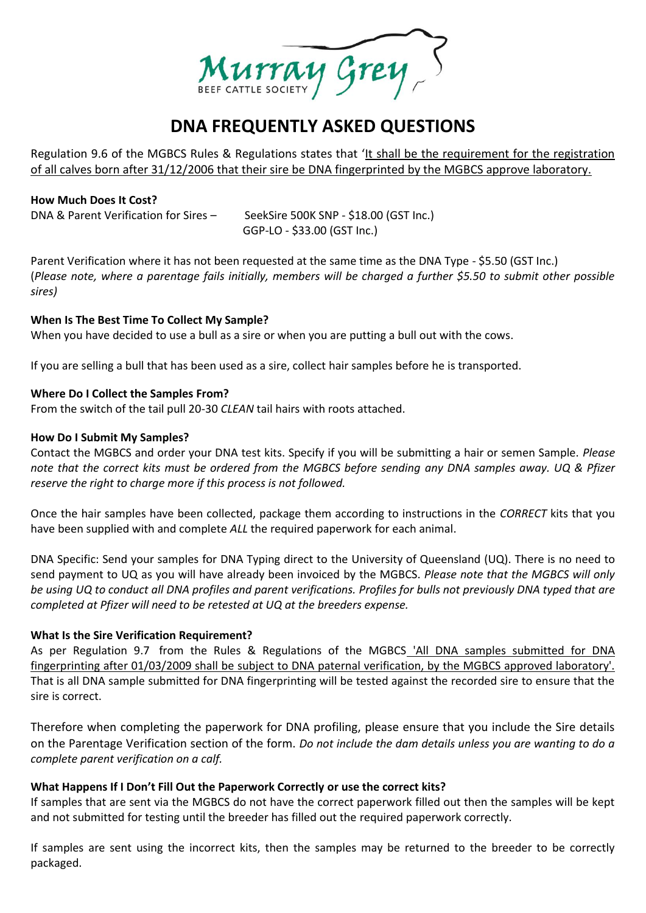

# **DNA FREQUENTLY ASKED QUESTIONS**

Regulation 9.6 of the MGBCS Rules & Regulations states that 'It shall be the requirement for the registration of all calves born after 31/12/2006 that their sire be DNA fingerprinted by the MGBCS approve laboratory.

## **How Much Does It Cost?**

DNA & Parent Verification for Sires - SeekSire 500K SNP - \$18.00 (GST Inc.) GGP-LO - \$33.00 (GST Inc.)

Parent Verification where it has not been requested at the same time as the DNA Type - \$5.50 (GST Inc.) (*Please note, where a parentage fails initially, members will be charged a further \$5.50 to submit other possible sires)*

## **When Is The Best Time To Collect My Sample?**

When you have decided to use a bull as a sire or when you are putting a bull out with the cows.

If you are selling a bull that has been used as a sire, collect hair samples before he is transported.

## **Where Do I Collect the Samples From?**

From the switch of the tail pull 20-30 *CLEAN* tail hairs with roots attached.

## **How Do I Submit My Samples?**

Contact the MGBCS and order your DNA test kits. Specify if you will be submitting a hair or semen Sample. *Please note that the correct kits must be ordered from the MGBCS before sending any DNA samples away. UQ & Pfizer reserve the right to charge more if this process is not followed.*

Once the hair samples have been collected, package them according to instructions in the *CORRECT* kits that you have been supplied with and complete *ALL* the required paperwork for each animal.

DNA Specific: Send your samples for DNA Typing direct to the University of Queensland (UQ). There is no need to send payment to UQ as you will have already been invoiced by the MGBCS. *Please note that the MGBCS will only be using UQ to conduct all DNA profiles and parent verifications. Profiles for bulls not previously DNA typed that are completed at Pfizer will need to be retested at UQ at the breeders expense.*

## **What Is the Sire Verification Requirement?**

As per Regulation 9.7 from the Rules & Regulations of the MGBCS 'All DNA samples submitted for DNA fingerprinting after 01/03/2009 shall be subject to DNA paternal verification, by the MGBCS approved laboratory'. That is all DNA sample submitted for DNA fingerprinting will be tested against the recorded sire to ensure that the sire is correct.

Therefore when completing the paperwork for DNA profiling, please ensure that you include the Sire details on the Parentage Verification section of the form. *Do not include the dam details unless you are wanting to do a complete parent verification on a calf.*

## **What Happens If I Don't Fill Out the Paperwork Correctly or use the correct kits?**

If samples that are sent via the MGBCS do not have the correct paperwork filled out then the samples will be kept and not submitted for testing until the breeder has filled out the required paperwork correctly.

If samples are sent using the incorrect kits, then the samples may be returned to the breeder to be correctly packaged.